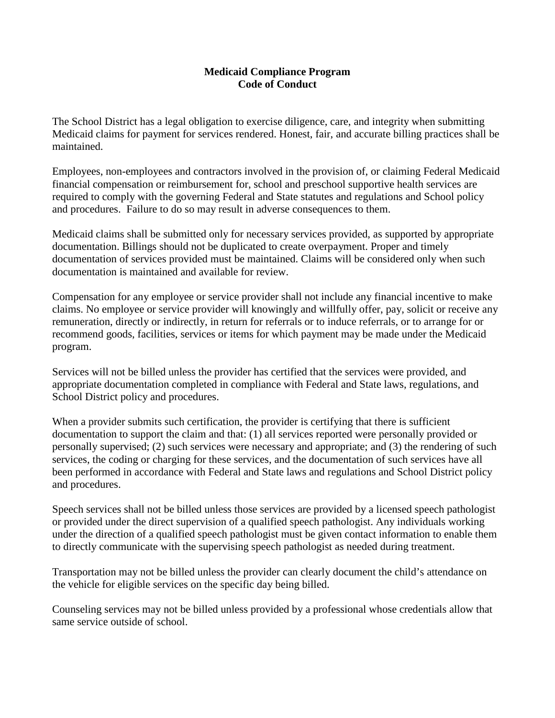## **Medicaid Compliance Program Code of Conduct**

The School District has a legal obligation to exercise diligence, care, and integrity when submitting Medicaid claims for payment for services rendered. Honest, fair, and accurate billing practices shall be maintained.

Employees, non-employees and contractors involved in the provision of, or claiming Federal Medicaid financial compensation or reimbursement for, school and preschool supportive health services are required to comply with the governing Federal and State statutes and regulations and School policy and procedures. Failure to do so may result in adverse consequences to them.

Medicaid claims shall be submitted only for necessary services provided, as supported by appropriate documentation. Billings should not be duplicated to create overpayment. Proper and timely documentation of services provided must be maintained. Claims will be considered only when such documentation is maintained and available for review.

Compensation for any employee or service provider shall not include any financial incentive to make claims. No employee or service provider will knowingly and willfully offer, pay, solicit or receive any remuneration, directly or indirectly, in return for referrals or to induce referrals, or to arrange for or recommend goods, facilities, services or items for which payment may be made under the Medicaid program.

Services will not be billed unless the provider has certified that the services were provided, and appropriate documentation completed in compliance with Federal and State laws, regulations, and School District policy and procedures.

When a provider submits such certification, the provider is certifying that there is sufficient documentation to support the claim and that: (1) all services reported were personally provided or personally supervised; (2) such services were necessary and appropriate; and (3) the rendering of such services, the coding or charging for these services, and the documentation of such services have all been performed in accordance with Federal and State laws and regulations and School District policy and procedures.

Speech services shall not be billed unless those services are provided by a licensed speech pathologist or provided under the direct supervision of a qualified speech pathologist. Any individuals working under the direction of a qualified speech pathologist must be given contact information to enable them to directly communicate with the supervising speech pathologist as needed during treatment.

Transportation may not be billed unless the provider can clearly document the child's attendance on the vehicle for eligible services on the specific day being billed.

Counseling services may not be billed unless provided by a professional whose credentials allow that same service outside of school.